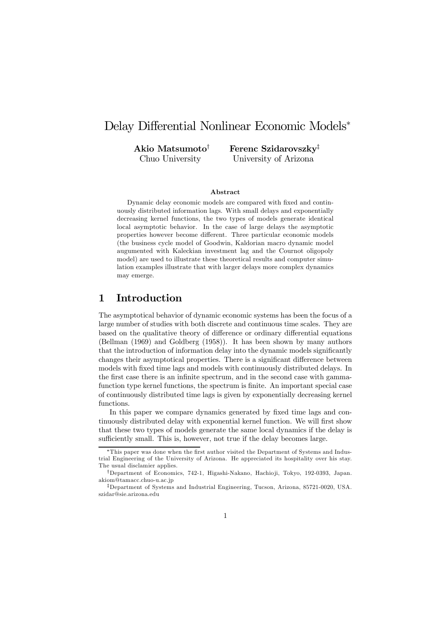# Delay Differential Nonlinear Economic Models<sup>∗</sup>

Akio Matsumoto† Chuo University

Ferenc Szidarovszky‡ University of Arizona

#### Abstract

Dynamic delay economic models are compared with fixed and continuously distributed information lags. With small delays and exponentially decreasing kernel functions, the two types of models generate identical local asymptotic behavior. In the case of large delays the asymptotic properties however become different. Three particular economic models (the business cycle model of Goodwin, Kaldorian macro dynamic model augumented with Kaleckian investment lag and the Cournot oligopoly model) are used to illustrate these theoretical results and computer simulation examples illustrate that with larger delays more complex dynamics may emerge.

### 1 Introduction

The asymptotical behavior of dynamic economic systems has been the focus of a large number of studies with both discrete and continuous time scales. They are based on the qualitative theory of difference or ordinary differential equations (Bellman (1969) and Goldberg (1958)). It has been shown by many authors that the introduction of information delay into the dynamic models significantly changes their asymptotical properties. There is a significant difference between models with fixed time lags and models with continuously distributed delays. In the first case there is an infinite spectrum, and in the second case with gammafunction type kernel functions, the spectrum is finite. An important special case of continuously distributed time lags is given by exponentially decreasing kernel functions.

In this paper we compare dynamics generated by fixed time lags and continuously distributed delay with exponential kernel function. We will first show that these two types of models generate the same local dynamics if the delay is sufficiently small. This is, however, not true if the delay becomes large.

This paper was done when the first author visited the Department of Systems and Industrial Engineering of the University of Arizona. He appreciated its hospitality over his stay. The usual disclamier applies.

<sup>†</sup>Department of Economics, 742-1, Higashi-Nakano, Hachio ji, Tokyo, 192-0393, Japan. akiom@tamacc.chuo-u.ac.jp

<sup>‡</sup>Department of Systems and Industrial Engineering, Tucson, Arizona, 85721-0020, USA. szidar@sie.arizona.edu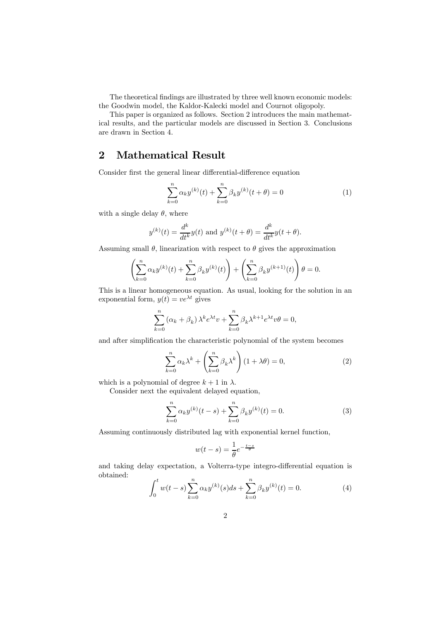The theoretical findings are illustrated by three well known economic models: the Goodwin model, the Kaldor-Kalecki model and Cournot oligopoly.

This paper is organized as follows. Section 2 introduces the main mathematical results, and the particular models are discussed in Section 3. Conclusions are drawn in Section 4.

### 2 Mathematical Result

Consider first the general linear differential-difference equation

$$
\sum_{k=0}^{n} \alpha_k y^{(k)}(t) + \sum_{k=0}^{n} \beta_k y^{(k)}(t + \theta) = 0
$$
 (1)

with a single delay  $\theta$ , where

$$
y^{(k)}(t) = \frac{d^k}{dt^k}y(t)
$$
 and  $y^{(k)}(t + \theta) = \frac{d^k}{dt^k}y(t + \theta)$ .

Assuming small  $\theta$ , linearization with respect to  $\theta$  gives the approximation

$$
\left(\sum_{k=0}^{n} \alpha_k y^{(k)}(t) + \sum_{k=0}^{n} \beta_k y^{(k)}(t)\right) + \left(\sum_{k=0}^{n} \beta_k y^{(k+1)}(t)\right) \theta = 0.
$$

This is a linear homogeneous equation. As usual, looking for the solution in an exponential form,  $y(t) = v e^{\lambda t}$  gives

$$
\sum_{k=0}^{n} (\alpha_k + \beta_k) \lambda^k e^{\lambda t} v + \sum_{k=0}^{n} \beta_k \lambda^{k+1} e^{\lambda t} v \theta = 0,
$$

and after simplification the characteristic polynomial of the system becomes

$$
\sum_{k=0}^{n} \alpha_k \lambda^k + \left(\sum_{k=0}^{n} \beta_k \lambda^k\right) (1 + \lambda \theta) = 0,\tag{2}
$$

which is a polynomial of degree  $k + 1$  in  $\lambda$ .

Consider next the equivalent delayed equation,

$$
\sum_{k=0}^{n} \alpha_k y^{(k)}(t-s) + \sum_{k=0}^{n} \beta_k y^{(k)}(t) = 0.
$$
 (3)

Assuming continuously distributed lag with exponential kernel function,

$$
w(t-s) = \frac{1}{\theta}e^{-\frac{t-s}{\theta}}
$$

and taking delay expectation, a Volterra-type integro-differential equation is obtained:

$$
\int_0^t w(t-s) \sum_{k=0}^n \alpha_k y^{(k)}(s) ds + \sum_{k=0}^n \beta_k y^{(k)}(t) = 0.
$$
 (4)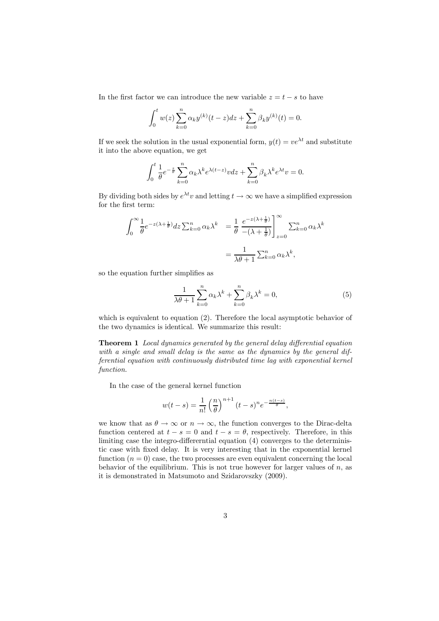In the first factor we can introduce the new variable  $z = t - s$  to have

$$
\int_0^t w(z) \sum_{k=0}^n \alpha_k y^{(k)}(t-z) dz + \sum_{k=0}^n \beta_k y^{(k)}(t) = 0.
$$

If we seek the solution in the usual exponential form,  $y(t) = ve^{\lambda t}$  and substitute it into the above equation, we get

$$
\int_0^t \frac{1}{\theta} e^{-\frac{z}{\theta}} \sum_{k=0}^n \alpha_k \lambda^k e^{\lambda(t-z)} v dz + \sum_{k=0}^n \beta_k \lambda^k e^{\lambda t} v = 0.
$$

By dividing both sides by  $e^{\lambda t}v$  and letting  $t \to \infty$  we have a simplified expression for the first term:

$$
\int_0^\infty \frac{1}{\theta} e^{-z(\lambda + \frac{1}{\theta})} dz \sum_{k=0}^n \alpha_k \lambda^k = \frac{1}{\theta} \left. \frac{e^{-z(\lambda + \frac{1}{\theta})}}{-(\lambda + \frac{1}{\theta})} \right|_{z=0}^\infty \sum_{k=0}^n \alpha_k \lambda^k
$$

$$
= \frac{1}{\lambda \theta + 1} \sum_{k=0}^n \alpha_k \lambda^k,
$$

so the equation further simplifies as

$$
\frac{1}{\lambda\theta + 1} \sum_{k=0}^{n} \alpha_k \lambda^k + \sum_{k=0}^{n} \beta_k \lambda^k = 0,
$$
\n(5)

which is equivalent to equation (2). Therefore the local asymptotic behavior of the two dynamics is identical. We summarize this result:

Theorem 1 Local dynamics generated by the general delay differential equation with a single and small delay is the same as the dynamics by the general differential equation with continuously distributed time lag with exponential kernel function.

In the case of the general kernel function

$$
w(t-s) = \frac{1}{n!} \left(\frac{n}{\theta}\right)^{n+1} (t-s)^n e^{-\frac{n(t-s)}{\theta}},
$$

we know that as  $\theta \to \infty$  or  $n \to \infty$ , the function converges to the Dirac-delta function centered at  $t - s = 0$  and  $t - s = \theta$ , respectively. Therefore, in this limiting case the integro-differerntial equation (4) converges to the deterministic case with fixed delay. It is very interesting that in the exponential kernel function  $(n = 0)$  case, the two processes are even equivalent concerning the local behavior of the equilibrium. This is not true however for larger values of  $n$ , as it is demonstrated in Matsumoto and Szidarovszky (2009).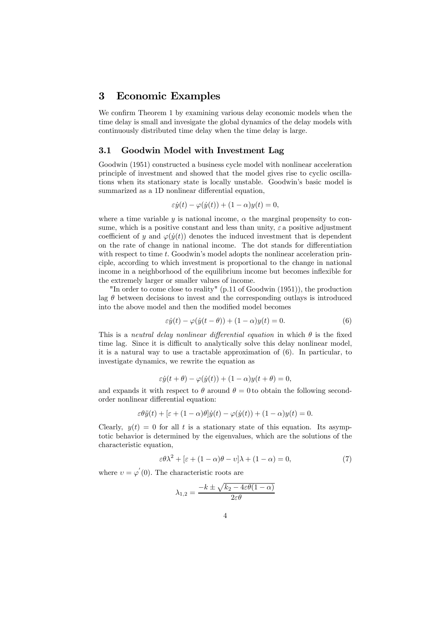### 3 Economic Examples

We confirm Theorem 1 by examining various delay economic models when the time delay is small and invesigate the global dynamics of the delay models with continuously distributed time delay when the time delay is large.

### 3.1 Goodwin Model with Investment Lag

Goodwin (1951) constructed a business cycle model with nonlinear acceleration principle of investment and showed that the model gives rise to cyclic oscillations when its stationary state is locally unstable. Goodwin's basic model is summarized as a 1D nonlinear differential equation,

$$
\varepsilon \dot{y}(t) - \varphi(\dot{y}(t)) + (1 - \alpha)y(t) = 0,
$$

where a time variable y is national income,  $\alpha$  the marginal propensity to consume, which is a positive constant and less than unity,  $\varepsilon$  a positive adjustment coefficient of y and  $\varphi(\dot{y}(t))$  denotes the induced investment that is dependent on the rate of change in national income. The dot stands for differentiation with respect to time t. Goodwin's model adopts the nonlinear acceleration principle, according to which investment is proportional to the change in national income in a neighborhood of the equilibrium income but becomes inflexible for the extremely larger or smaller values of income.

"In order to come close to reality" (p.11 of Goodwin (1951)), the production lag  $\theta$  between decisions to invest and the corresponding outlays is introduced into the above model and then the modified model becomes

$$
\varepsilon \dot{y}(t) - \varphi(\dot{y}(t-\theta)) + (1-\alpha)y(t) = 0.
$$
\n(6)

This is a neutral delay nonlinear differential equation in which  $\theta$  is the fixed time lag. Since it is difficult to analytically solve this delay nonlinear model. it is a natural way to use a tractable approximation of (6). In particular, to investigate dynamics, we rewrite the equation as

$$
\varepsilon \dot{y}(t+\theta) - \varphi(\dot{y}(t)) + (1-\alpha)y(t+\theta) = 0,
$$

and expands it with respect to  $\theta$  around  $\theta = 0$  to obtain the following secondorder nonlinear differential equation:

$$
\varepsilon \theta \ddot{y}(t) + \left[\varepsilon + (1 - \alpha)\theta\right] \dot{y}(t) - \varphi(\dot{y}(t)) + (1 - \alpha)y(t) = 0.
$$

Clearly,  $y(t)=0$  for all t is a stationary state of this equation. Its asymptotic behavior is determined by the eigenvalues, which are the solutions of the characteristic equation,

$$
\varepsilon \theta \lambda^2 + \left[ \varepsilon + (1 - \alpha)\theta - v \right] \lambda + (1 - \alpha) = 0,\tag{7}
$$

where  $v = \varphi'(0)$ . The characteristic roots are

$$
\lambda_{1,2} = \frac{-k \pm \sqrt{k_2 - 4\varepsilon\theta(1 - \alpha)}}{2\varepsilon\theta}
$$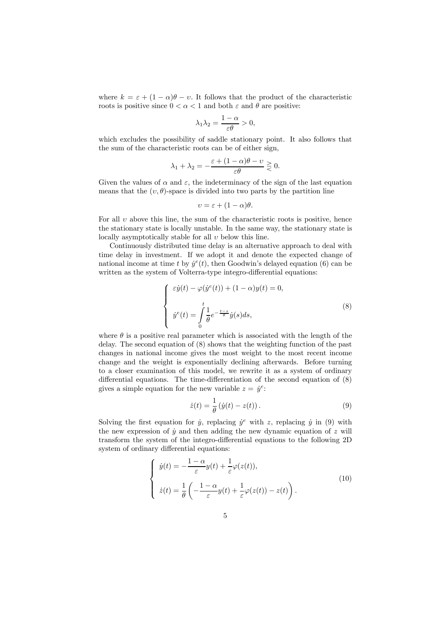where  $k = \varepsilon + (1 - \alpha)\theta - v$ . It follows that the product of the characteristic roots is positive since  $0 < \alpha < 1$  and both  $\varepsilon$  and  $\theta$  are positive:

$$
\lambda_1 \lambda_2 = \frac{1 - \alpha}{\varepsilon \theta} > 0,
$$

which excludes the possibility of saddle stationary point. It also follows that the sum of the characteristic roots can be of either sign,

$$
\lambda_1 + \lambda_2 = -\frac{\varepsilon + (1 - \alpha)\theta - \upsilon}{\varepsilon \theta} \gtrless 0.
$$

Given the values of  $\alpha$  and  $\varepsilon$ , the indeterminacy of the sign of the last equation means that the  $(v, \theta)$ -space is divided into two parts by the partition line

$$
v = \varepsilon + (1 - \alpha)\theta.
$$

For all  $v$  above this line, the sum of the characteristic roots is positive, hence the stationary state is locally unstable. In the same way, the stationary state is locally asymptotically stable for all  $v$  below this line.

Continuously distributed time delay is an alternative approach to deal with time delay in investment. If we adopt it and denote the expected change of national income at time t by  $\dot{y}^e(t)$ , then Goodwin's delayed equation (6) can be written as the system of Volterra-type integro-differential equations:

$$
\begin{cases}\n\varepsilon \dot{y}(t) - \varphi(\dot{y}^e(t)) + (1 - \alpha)y(t) = 0, \\
\dot{y}^e(t) = \int_0^t \frac{1}{\theta} e^{-\frac{t - s}{\theta}} \dot{y}(s) ds,\n\end{cases}
$$
\n(8)

where  $\theta$  is a positive real parameter which is associated with the length of the delay. The second equation of (8) shows that the weighting function of the past changes in national income gives the most weight to the most recent income change and the weight is exponentially declining afterwards. Before turning to a closer examination of this model, we rewrite it as a system of ordinary differential equations. The time-differentiation of the second equation of (8) gives a simple equation for the new variable  $z = \dot{y}^e$ :

$$
\dot{z}(t) = \frac{1}{\theta} \left( \dot{y}(t) - z(t) \right). \tag{9}
$$

Solving the first equation for  $\dot{y}$ , replacing  $\dot{y}^e$  with z, replacing  $\dot{y}$  in (9) with the new expression of  $\dot{y}$  and then adding the new dynamic equation of  $z$  will transform the system of the integro-differential equations to the following 2D system of ordinary differential equations:

$$
\begin{cases}\n\dot{y}(t) = -\frac{1-\alpha}{\varepsilon}y(t) + \frac{1}{\varepsilon}\varphi(z(t)), \\
\dot{z}(t) = \frac{1}{\theta}\left(-\frac{1-\alpha}{\varepsilon}y(t) + \frac{1}{\varepsilon}\varphi(z(t)) - z(t)\right).\n\end{cases}
$$
\n(10)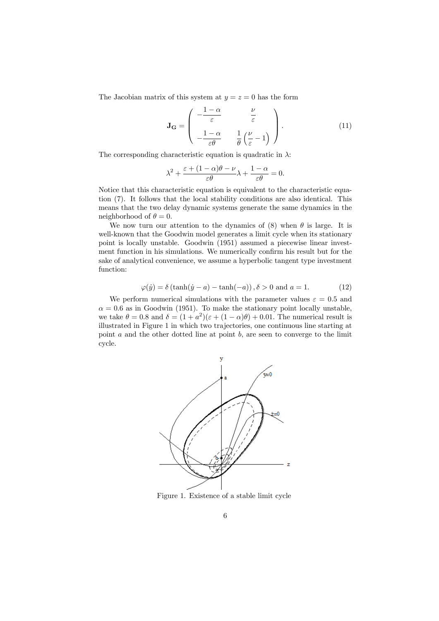The Jacobian matrix of this system at  $y = z = 0$  has the form

$$
\mathbf{J}_{\mathbf{G}} = \begin{pmatrix} -\frac{1-\alpha}{\varepsilon} & \frac{\nu}{\varepsilon} \\ -\frac{1-\alpha}{\varepsilon\theta} & \frac{1}{\theta} \left( \frac{\nu}{\varepsilon} - 1 \right) \end{pmatrix} . \tag{11}
$$

The corresponding characteristic equation is quadratic in  $\lambda$ :

$$
\lambda^2 + \frac{\varepsilon + (1 - \alpha)\theta - \nu}{\varepsilon \theta} \lambda + \frac{1 - \alpha}{\varepsilon \theta} = 0.
$$

Notice that this characteristic equation is equivalent to the characteristic equation (7). It follows that the local stability conditions are also identical. This means that the two delay dynamic systems generate the same dynamics in the neighborhood of  $\theta = 0$ .

We now turn our attention to the dynamics of (8) when  $\theta$  is large. It is well-known that the Goodwin model generates a limit cycle when its stationary point is locally unstable. Goodwin (1951) assumed a piecewise linear investment function in his simulations. We numerically confirm his result but for the sake of analytical convenience, we assume a hyperbolic tangent type investment function:

$$
\varphi(\dot{y}) = \delta\left(\tanh(\dot{y} - a) - \tanh(-a)\right), \delta > 0 \text{ and } a = 1.
$$
 (12)

We perform numerical simulations with the parameter values  $\varepsilon = 0.5$  and  $\alpha = 0.6$  as in Goodwin (1951). To make the stationary point locally unstable, we take  $\theta = 0.8$  and  $\delta = (1 + a^2)(\epsilon + (1 - \alpha)\theta) + 0.01$ . The numerical result is illustrated in Figure 1 in which two trajectories, one continuous line starting at point  $a$  and the other dotted line at point  $b$ , are seen to converge to the limit cycle.



Figure 1. Existence of a stable limit cycle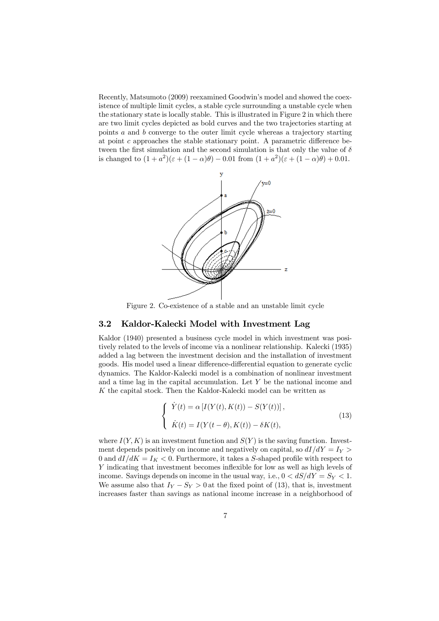Recently, Matsumoto (2009) reexamined Goodwin's model and showed the coexistence of multiple limit cycles, a stable cycle surrounding a unstable cycle when the stationary state is locally stable. This is illustrated in Figure 2 in which there are two limit cycles depicted as bold curves and the two trajectories starting at points a and b converge to the outer limit cycle whereas a trajectory starting at point  $c$  approaches the stable stationary point. A parametric difference between the first simulation and the second simulation is that only the value of  $\delta$ is changed to  $(1 + a^2)(\epsilon + (1 - \alpha)\theta) - 0.01$  from  $(1 + a^2)(\epsilon + (1 - \alpha)\theta) + 0.01$ .



Figure 2. Co-existence of a stable and an unstable limit cycle

### 3.2 Kaldor-Kalecki Model with Investment Lag

Kaldor (1940) presented a business cycle model in which investment was positively related to the levels of income via a nonlinear relationship. Kalecki (1935) added a lag between the investment decision and the installation of investment goods. His model used a linear difference-differential equation to generate cyclic dynamics. The Kaldor-Kalecki model is a combination of nonlinear investment and a time lag in the capital accumulation. Let Y be the national income and  $K$  the capital stock. Then the Kaldor-Kalecki model can be written as

$$
\begin{cases}\n\dot{Y}(t) = \alpha \left[ I(Y(t), K(t)) - S(Y(t)) \right], \\
\dot{K}(t) = I(Y(t - \theta), K(t)) - \delta K(t),\n\end{cases}
$$
\n(13)

where  $I(Y, K)$  is an investment function and  $S(Y)$  is the saving function. Investment depends positively on income and negatively on capital, so  $dI/dY = I_Y$ 0 and  $dI/dK = I_K < 0$ . Furthermore, it takes a S-shaped profile with respect to Y indicating that investment becomes inflexible for low as well as high levels of income. Savings depends on income in the usual way, i.e.,  $0 < dS/dY = S_Y < 1$ . We assume also that  $I_Y - S_Y > 0$  at the fixed point of (13), that is, investment increases faster than savings as national income increase in a neighborhood of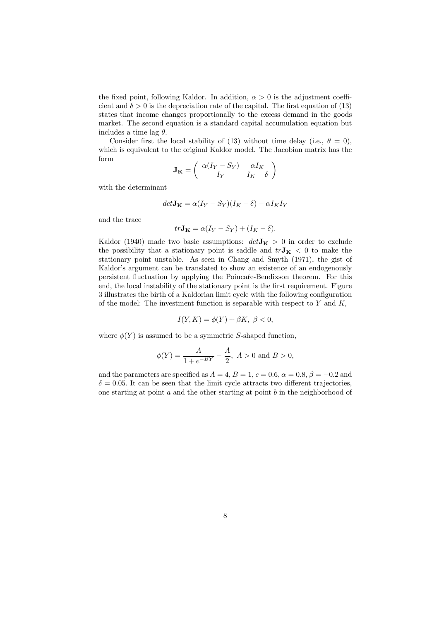the fixed point, following Kaldor. In addition,  $\alpha > 0$  is the adjustment coefficient and  $\delta > 0$  is the depreciation rate of the capital. The first equation of (13) states that income changes proportionally to the excess demand in the goods market. The second equation is a standard capital accumulation equation but includes a time lag  $\theta$ .

Consider first the local stability of (13) without time delay (i.e.,  $\theta = 0$ ), which is equivalent to the original Kaldor model. The Jacobian matrix has the form

$$
\mathbf{J_K} = \left( \begin{array}{cc} \alpha(I_Y - S_Y) & \alpha I_K \\ I_Y & I_K - \delta \end{array} \right)
$$

with the determinant

$$
det\mathbf{J_K} = \alpha (I_Y - S_Y)(I_K - \delta) - \alpha I_K I_Y
$$

and the trace

$$
tr\mathbf{J_K} = \alpha(I_Y - S_Y) + (I_K - \delta).
$$

Kaldor (1940) made two basic assumptions:  $det\mathbf{J}_{\mathbf{K}} > 0$  in order to exclude the possibility that a stationary point is saddle and  $trJ_K < 0$  to make the stationary point unstable. As seen in Chang and Smyth (1971), the gist of Kaldor's argument can be translated to show an existence of an endogenously persistent fluctuation by applying the Poincare-Bendixson theorem. For this end, the local instability of the stationary point is the first requirement. Figure 3 illustrates the birth of a Kaldorian limit cycle with the following configuration of the model: The investment function is separable with respect to  $Y$  and  $K$ ,

$$
I(Y, K) = \phi(Y) + \beta K, \ \beta < 0,
$$

where  $\phi(Y)$  is assumed to be a symmetric S-shaped function,

$$
\phi(Y) = \frac{A}{1 + e^{-BY}} - \frac{A}{2}, \ A > 0 \text{ and } B > 0,
$$

and the parameters are specified as  $A = 4$ ,  $B = 1$ ,  $c = 0.6$ ,  $\alpha = 0.8$ ,  $\beta = -0.2$  and  $\delta = 0.05$ . It can be seen that the limit cycle attracts two different trajectories, one starting at point  $a$  and the other starting at point  $b$  in the neighborhood of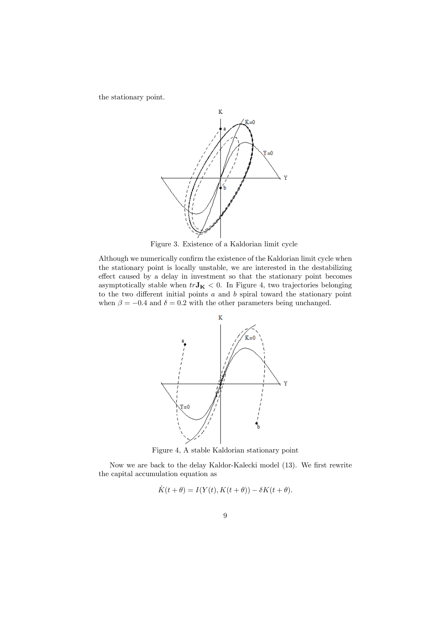the stationary point.



Figure 3. Existence of a Kaldorian limit cycle

Although we numerically confirm the existence of the Kaldorian limit cycle when the stationary point is locally unstable, we are interested in the destabilizing effect caused by a delay in investment so that the stationary point becomes asymptotically stable when  $tr\mathbf{J_K} < 0$ . In Figure 4, two trajectories belonging to the two different initial points  $a$  and  $b$  spiral toward the stationary point when  $\beta = -0.4$  and  $\delta = 0.2$  with the other parameters being unchanged.



Figure 4, A stable Kaldorian stationary point

Now we are back to the delay Kaldor-Kalecki model (13). We first rewrite the capital accumulation equation as

$$
K(t + \theta) = I(Y(t), K(t + \theta)) - \delta K(t + \theta)
$$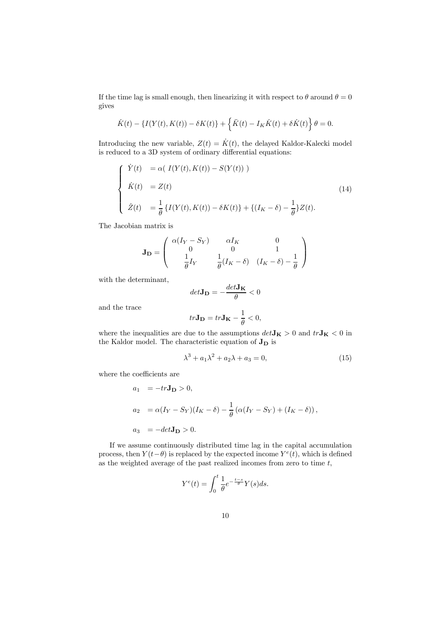If the time lag is small enough, then linearizing it with respect to  $\theta$  around  $\theta = 0$ gives

$$
\dot{K}(t) - \{I(Y(t), K(t)) - \delta K(t)\} + \left\{\ddot{K}(t) - I_K \dot{K}(t) + \delta \dot{K}(t)\right\} \theta = 0.
$$

Introducing the new variable,  $Z(t) = \dot{K}(t)$ , the delayed Kaldor-Kalecki model is reduced to a 3D system of ordinary differential equations:

$$
\begin{cases}\n\dot{Y}(t) = \alpha ( I(Y(t), K(t)) - S(Y(t))) \\
\dot{K}(t) = Z(t) \\
\dot{Z}(t) = \frac{1}{\theta} \{ I(Y(t), K(t)) - \delta K(t) \} + \{ (I_K - \delta) - \frac{1}{\theta} \} Z(t).\n\end{cases}
$$
\n(14)

The Jacobian matrix is

$$
\mathbf{J_D} = \begin{pmatrix} \alpha(I_Y - S_Y) & \alpha I_K & 0\\ 0 & 0 & 1\\ \frac{1}{\theta}I_Y & \frac{1}{\theta}(I_K - \delta) & (I_K - \delta) - \frac{1}{\theta} \end{pmatrix}
$$

with the determinant,

$$
det\mathbf{J_D} = -\frac{det\mathbf{J_K}}{\theta} < 0
$$

and the trace

$$
tr\mathbf{J_D}=tr\mathbf{J_K}-\frac{1}{\theta}<0,
$$

where the inequalities are due to the assumptions  $det\mathbf{J_K}>0$  and  $tr\mathbf{J_K}<0$  in the Kaldor model. The characteristic equation of  $\bf{J_D}$  is

$$
\lambda^3 + a_1 \lambda^2 + a_2 \lambda + a_3 = 0,\tag{15}
$$

where the coefficients are

$$
a_1 = -tr\mathbf{J_D} > 0,
$$
  
\n
$$
a_2 = \alpha(I_Y - S_Y)(I_K - \delta) - \frac{1}{\theta}(\alpha(I_Y - S_Y) + (I_K - \delta)),
$$
  
\n
$$
a_3 = -det\mathbf{J_D} > 0.
$$

If we assume continuously distributed time lag in the capital accumulation process, then  $Y(t-\theta)$  is replaced by the expected income  $Y^{e}(t)$ , which is defined as the weighted average of the past realized incomes from zero to time t,

$$
Y^{e}(t) = \int_{0}^{t} \frac{1}{\theta} e^{-\frac{t-s}{\theta}} Y(s) ds.
$$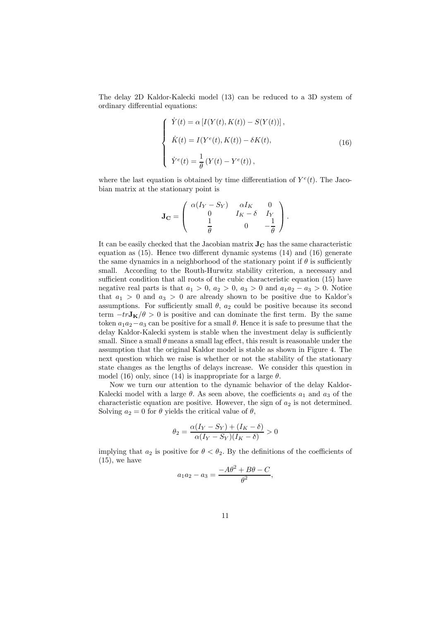The delay 2D Kaldor-Kalecki model (13) can be reduced to a 3D system of ordinary differential equations:

$$
\begin{cases}\n\dot{Y}(t) = \alpha \left[ I(Y(t), K(t)) - S(Y(t)) \right], \\
\dot{K}(t) = I(Y^{e}(t), K(t)) - \delta K(t), \\
\dot{Y}^{e}(t) = \frac{1}{\theta} \left( Y(t) - Y^{e}(t) \right),\n\end{cases}
$$
\n(16)

where the last equation is obtained by time differentiation of  $Y^{e}(t)$ . The Jacobian matrix at the stationary point is

$$
\mathbf{J_C} = \left( \begin{array}{ccc} \alpha(I_Y-S_Y) & \alpha I_K & 0 \\ 0 & I_K-\delta & I_Y \\ \frac{1}{\theta} & 0 & -\frac{1}{\theta} \end{array} \right).
$$

It can be easily checked that the Jacobian matrix  $J_C$  has the same characteristic equation as (15). Hence two different dynamic systems (14) and (16) generate the same dynamics in a neighborhood of the stationary point if  $\theta$  is sufficiently small. According to the Routh-Hurwitz stability criterion, a necessary and sufficient condition that all roots of the cubic characteristic equation (15) have negative real parts is that  $a_1 > 0$ ,  $a_2 > 0$ ,  $a_3 > 0$  and  $a_1a_2 - a_3 > 0$ . Notice that  $a_1 > 0$  and  $a_3 > 0$  are already shown to be positive due to Kaldor's assumptions. For sufficiently small  $\theta$ ,  $a_2$  could be positive because its second term  $-trJ_{\mathbf{K}}/\theta > 0$  is positive and can dominate the first term. By the same token  $a_1a_2-a_3$  can be positive for a small  $\theta$ . Hence it is safe to presume that the delay Kaldor-Kalecki system is stable when the investment delay is sufficiently small. Since a small  $\theta$  means a small lag effect, this result is reasonable under the assumption that the original Kaldor model is stable as shown in Figure 4. The next question which we raise is whether or not the stability of the stationary state changes as the lengths of delays increase. We consider this question in model (16) only, since (14) is inappropriate for a large  $\theta$ .

Now we turn our attention to the dynamic behavior of the delay Kaldor-Kalecki model with a large  $\theta$ . As seen above, the coefficients  $a_1$  and  $a_3$  of the characteristic equation are positive. However, the sign of  $a_2$  is not determined. Solving  $a_2 = 0$  for  $\theta$  yields the critical value of  $\theta$ ,

$$
\theta_2 = \frac{\alpha(I_Y - S_Y) + (I_K - \delta)}{\alpha(I_Y - S_Y)(I_K - \delta)} > 0
$$

implying that  $a_2$  is positive for  $\theta < \theta_2$ . By the definitions of the coefficients of  $(15)$ , we have

$$
a_1 a_2 - a_3 = \frac{-A\theta^2 + B\theta - C}{\theta^2},
$$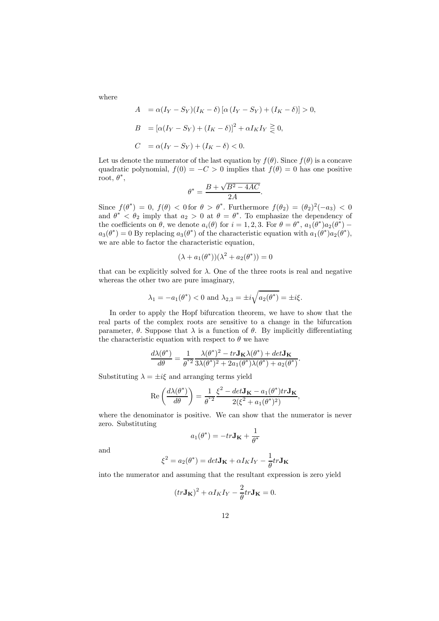where

$$
A = \alpha (I_Y - S_Y)(I_K - \delta) [\alpha (I_Y - S_Y) + (I_K - \delta)] > 0,
$$
  
\n
$$
B = [\alpha (I_Y - S_Y) + (I_K - \delta)]^2 + \alpha I_K I_Y \ge 0,
$$
  
\n
$$
C = \alpha (I_Y - S_Y) + (I_K - \delta) < 0.
$$

Let us denote the numerator of the last equation by  $f(\theta)$ . Since  $f(\theta)$  is a concave quadratic polynomial,  $f(0) = -C > 0$  implies that  $f(\theta) = 0$  has one positive root,  $\theta^*$ ,

$$
\theta^* = \frac{B + \sqrt{B^2 - 4AC}}{2A}.
$$

Since  $f(\theta^*)=0$ ,  $f(\theta) < 0$  for  $\theta > \theta^*$ . Furthermore  $f(\theta_2)=(\theta_2)^2(-a_3) < 0$ and  $\theta^* < \theta_2$  imply that  $a_2 > 0$  at  $\theta = \theta^*$ . To emphasize the dependency of the coefficients on  $\theta$ , we denote  $a_i(\theta)$  for  $i = 1, 2, 3$ . For  $\theta = \theta^*$ ,  $a_1(\theta^*)a_2(\theta^*)$  –  $a_3(\theta^*)=0$  By replacing  $a_3(\theta^*)$  of the characteristic equation with  $a_1(\theta^*)a_2(\theta^*)$ , we are able to factor the characteristic equation,

$$
(\lambda + a_1(\theta^*)) (\lambda^2 + a_2(\theta^*)) = 0
$$

that can be explicitly solved for  $\lambda$ . One of the three roots is real and negative whereas the other two are pure imaginary,

$$
\lambda_1 = -a_1(\theta^*) < 0
$$
 and  $\lambda_{2,3} = \pm i \sqrt{a_2(\theta^*)} = \pm i \xi.$ 

In order to apply the Hopf bifurcation theorem, we have to show that the real parts of the complex roots are sensitive to a change in the bifurcation parameter,  $\theta$ . Suppose that  $\lambda$  is a function of  $\theta$ . By implicitly differentiating the characteristic equation with respect to  $\theta$  we have

$$
\frac{d\lambda(\theta^*)}{d\theta} = \frac{1}{\theta^{*2}} \frac{\lambda(\theta^*)^2 - tr \mathbf{J_K} \lambda(\theta^*) + det \mathbf{J_K}}{\lambda(\theta^*)^2 + 2a_1(\theta^*) \lambda(\theta^*) + a_2(\theta^*)}.
$$

Substituting  $\lambda = \pm i\xi$  and arranging terms yield

$$
\operatorname{Re}\left(\frac{d\lambda(\theta^*)}{d\theta}\right) = \frac{1}{\theta^{*2}} \frac{\xi^2 - det\mathbf{J_K} - a_1(\theta^*) tr\mathbf{J_K}}{2(\xi^2 + a_1(\theta^*)^2)},
$$

where the denominator is positive. We can show that the numerator is never zero. Substituting

$$
a_1(\theta^*) = -tr\mathbf{J_K} + \frac{1}{\theta^*}
$$

and

$$
\xi^{2} = a_{2}(\theta^{*}) = det\mathbf{J}_{\mathbf{K}} + \alpha I_{K}I_{Y} - \frac{1}{\theta}tr\mathbf{J}_{\mathbf{K}}
$$

into the numerator and assuming that the resultant expression is zero yield

$$
(tr\mathbf{J}_{\mathbf{K}})^{2} + \alpha I_{K} I_{Y} - \frac{2}{\theta} tr \mathbf{J}_{\mathbf{K}} = 0.
$$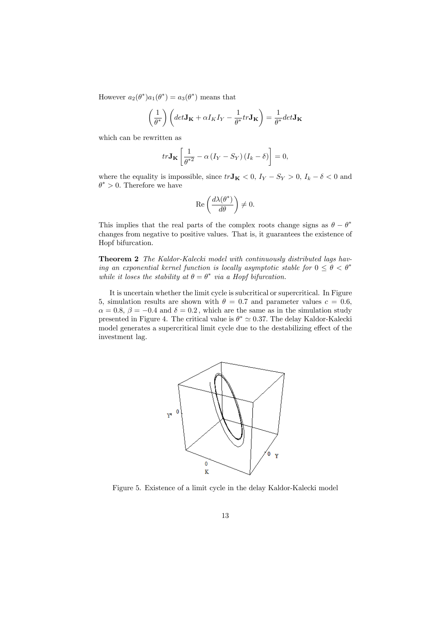However  $a_2(\theta^*)a_1(\theta^*) = a_3(\theta^*)$  means that

$$
\left(\frac{1}{\theta^*}\right) \left(\det \mathbf{J}_{\mathbf{K}} + \alpha I_K I_Y - \frac{1}{\theta^*} tr \mathbf{J}_{\mathbf{K}}\right) = \frac{1}{\theta^*} det \mathbf{J}_{\mathbf{K}}
$$

which can be rewritten as

$$
tr\mathbf{J_K}\left[\frac{1}{\theta^{*2}} - \alpha \left(I_Y - S_Y\right)\left(I_k - \delta\right)\right] = 0,
$$

where the equality is impossible, since  $tr\mathbf{J_K} < 0$ ,  $I_Y - S_Y > 0$ ,  $I_k - \delta < 0$  and  $\theta^* > 0$ . Therefore we have

$$
\operatorname{Re}\left(\frac{d\lambda(\theta^*)}{d\theta}\right) \neq 0.
$$

This implies that the real parts of the complex roots change signs as  $\theta - \theta^*$ changes from negative to positive values. That is, it guarantees the existence of Hopf bifurcation.

Theorem 2 The Kaldor-Kalecki model with continuously distributed lags having an exponential kernel function is locally asymptotic stable for  $0 \le \theta < \theta^*$ while it loses the stability at  $\theta = \theta^*$  via a Hopf bifurcation.

It is uncertain whether the limit cycle is subcritical or supercritical. In Figure 5, simulation results are shown with  $\theta = 0.7$  and parameter values  $c = 0.6$ ,  $\alpha = 0.8, \beta = -0.4$  and  $\delta = 0.2$ , which are the same as in the simulation study presented in Figure 4. The critical value is  $\theta^* \simeq 0.37$ . The delay Kaldor-Kalecki model generates a supercritical limit cycle due to the destabilizing effect of the investment lag.



Figure 5. Existence of a limit cycle in the delay Kaldor-Kalecki model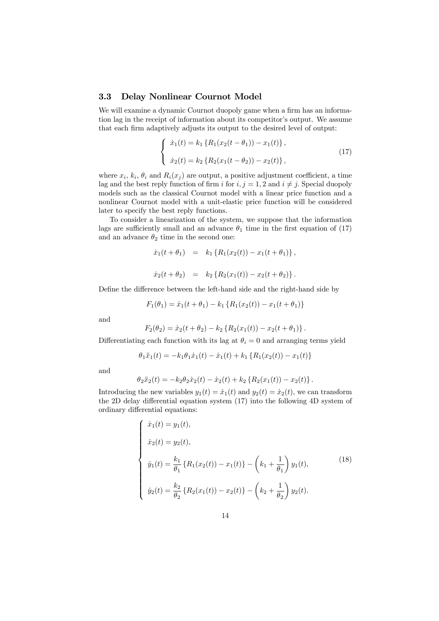### 3.3 Delay Nonlinear Cournot Model

We will examine a dynamic Cournot duopoly game when a firm has an information lag in the receipt of information about its competitor's output. We assume that each firm adaptively adjusts its output to the desired level of output:

$$
\begin{cases}\n\dot{x}_1(t) = k_1 \{ R_1(x_2(t - \theta_1)) - x_1(t) \}, \\
\dot{x}_2(t) = k_2 \{ R_2(x_1(t - \theta_2)) - x_2(t) \},\n\end{cases}
$$
\n(17)

where  $x_i, k_i, \theta_i$  and  $R_i(x_j)$  are output, a positive adjustment coefficient, a time lag and the best reply function of firm i for  $i, j = 1, 2$  and  $i \neq j$ . Special duopoly models such as the classical Cournot model with a linear price function and a nonlinear Cournot model with a unit-elastic price function will be considered later to specify the best reply functions.

To consider a linearization of the system, we suppose that the information lags are sufficiently small and an advance  $\theta_1$  time in the first equation of (17) and an advance  $\theta_2$  time in the second one:

$$
\dot{x}_1(t + \theta_1) = k_1 \{ R_1(x_2(t)) - x_1(t + \theta_1) \},
$$
  

$$
\dot{x}_2(t + \theta_2) = k_2 \{ R_2(x_1(t)) - x_2(t + \theta_2) \}.
$$

Define the difference between the left-hand side and the right-hand side by

$$
F_1(\theta_1) = \dot{x}_1(t + \theta_1) - k_1 \{ R_1(x_2(t)) - x_1(t + \theta_1) \}
$$

and

$$
F_2(\theta_2) = \dot{x}_2(t + \theta_2) - k_2 \{ R_2(x_1(t)) - x_2(t + \theta_1) \}.
$$

Differentiating each function with its lag at  $\theta_i = 0$  and arranging terms yield

$$
\theta_1 \ddot{x}_1(t) = -k_1 \theta_1 \dot{x}_1(t) - \dot{x}_1(t) + k_1 \left\{ R_1(x_2(t)) - x_1(t) \right\}
$$

and

$$
\theta_2 \ddot{x}_2(t) = -k_2 \theta_2 \dot{x}_2(t) - \dot{x}_2(t) + k_2 \{ R_2(x_1(t)) - x_2(t) \}.
$$

Introducing the new variables  $y_1(t) = \dot{x}_1(t)$  and  $y_2(t) = \dot{x}_2(t)$ , we can transform the 2D delay differential equation system (17) into the following 4D system of ordinary differential equations:

$$
\begin{cases}\n\dot{x}_1(t) = y_1(t), \\
\dot{x}_2(t) = y_2(t), \\
\dot{y}_1(t) = \frac{k_1}{\theta_1} \left\{ R_1(x_2(t)) - x_1(t) \right\} - \left( k_1 + \frac{1}{\theta_1} \right) y_1(t), \\
\dot{y}_2(t) = \frac{k_2}{\theta_2} \left\{ R_2(x_1(t)) - x_2(t) \right\} - \left( k_2 + \frac{1}{\theta_2} \right) y_2(t).\n\end{cases}
$$
\n(18)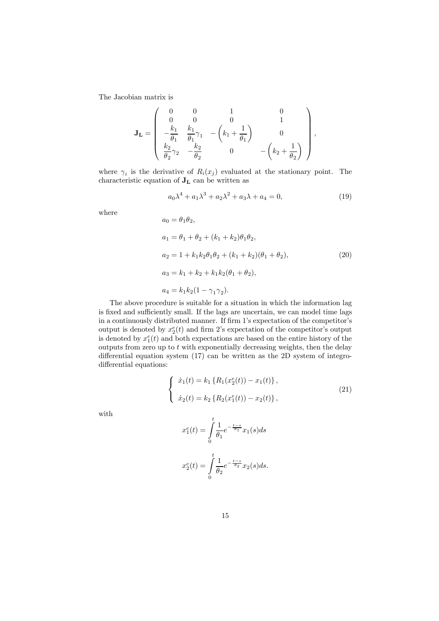The Jacobian matrix is

$$
\mathbf{J_L} = \left( \begin{array}{cccc} 0 & 0 & 1 & 0 \\ 0 & 0 & 0 & 1 \\ -\frac{k_1}{\theta_1} & \frac{k_1}{\theta_1} \gamma_1 & -\left(k_1 + \frac{1}{\theta_1}\right) & 0 \\ \frac{k_2}{\theta_2} \gamma_2 & -\frac{k_2}{\theta_2} & 0 & -\left(k_2 + \frac{1}{\theta_2}\right) \end{array} \right),
$$

where  $\gamma_i$  is the derivative of  $R_i(x_j)$  evaluated at the stationary point. The characteristic equation of  $\mathbf{J}_\mathbf{L}$  can be written as

$$
a_0\lambda^4 + a_1\lambda^3 + a_2\lambda^2 + a_3\lambda + a_4 = 0,
$$
\n(19)

where

$$
a_0 = \theta_1 \theta_2,
$$
  
\n
$$
a_1 = \theta_1 + \theta_2 + (k_1 + k_2)\theta_1 \theta_2,
$$
  
\n
$$
a_2 = 1 + k_1 k_2 \theta_1 \theta_2 + (k_1 + k_2)(\theta_1 + \theta_2),
$$
  
\n
$$
a_3 = k_1 + k_2 + k_1 k_2 (\theta_1 + \theta_2),
$$
  
\n
$$
a_4 = k_1 k_2 (1 - \gamma_1 \gamma_2).
$$
\n(20)

The above procedure is suitable for a situation in which the information lag is fixed and sufficiently small. If the lags are uncertain, we can model time lags in a continuously distributed manner. If firm 1's expectation of the competitor's output is denoted by  $x_2^e(t)$  and firm 2's expectation of the competitor's output is denoted by  $x_1^e(t)$  and both expectations are based on the entire history of the outputs from zero up to  $t$  with exponentially decreasing weights, then the delay differential equation system (17) can be written as the 2D system of integrodifferential equations:

$$
\begin{cases}\n\dot{x}_1(t) = k_1 \left\{ R_1(x_2^e(t)) - x_1(t) \right\}, \\
\dot{x}_2(t) = k_2 \left\{ R_2(x_1^e(t)) - x_2(t) \right\},\n\end{cases}
$$
\n(21)

with

$$
x_1^e(t) = \int_0^t \frac{1}{\theta_1} e^{-\frac{t-s}{\theta_1}} x_1(s) ds
$$
  

$$
x_2^e(t) = \int_0^t \frac{1}{\theta_2} e^{-\frac{t-s}{\theta_2}} x_2(s) ds.
$$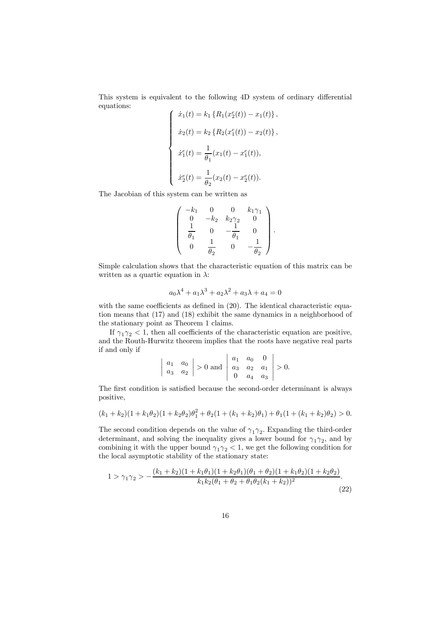This system is equivalent to the following 4D system of ordinary differential equations:

$$
\begin{cases}\n\dot{x}_1(t) = k_1 \left\{ R_1(x_2^e(t)) - x_1(t) \right\}, \\
\dot{x}_2(t) = k_2 \left\{ R_2(x_1^e(t)) - x_2(t) \right\}, \\
\dot{x}_1^e(t) = \frac{1}{\theta_1} (x_1(t) - x_1^e(t)), \\
\dot{x}_2^e(t) = \frac{1}{\theta_2} (x_2(t) - x_2^e(t)).\n\end{cases}
$$

The Jacobian of this system can be written as

$$
\left(\begin{array}{cccc} -k_1 & 0 & 0 & k_1\gamma_1 \\ 0 & -k_2 & k_2\gamma_2 & 0 \\ \frac{1}{\theta_1} & 0 & -\frac{1}{\theta_1} & 0 \\ 0 & \frac{1}{\theta_2} & 0 & -\frac{1}{\theta_2} \end{array}\right).
$$

Simple calculation shows that the characteristic equation of this matrix can be written as a quartic equation in  $\lambda$ :

$$
a_0 \lambda^4 + a_1 \lambda^3 + a_2 \lambda^2 + a_3 \lambda + a_4 = 0
$$

with the same coefficients as defined in  $(20)$ . The identical characteristic equation means that (17) and (18) exhibit the same dynamics in a neighborhood of the stationary point as Theorem 1 claims.

If  $\gamma_1 \gamma_2 < 1$ , then all coefficients of the characteristic equation are positive, and the Routh-Hurwitz theorem implies that the roots have negative real parts if and only if  $\mathbf{a}$ 

$$
\begin{vmatrix} a_1 & a_0 \\ a_3 & a_2 \end{vmatrix}
$$
 > 0 and  $\begin{vmatrix} a_1 & a_0 & 0 \\ a_3 & a_2 & a_1 \\ 0 & a_4 & a_3 \end{vmatrix}$  > 0.

The first condition is satisfied because the second-order determinant is always positive,

$$
(k_1 + k_2)(1 + k_1\theta_2)(1 + k_2\theta_2)\theta_1^2 + \theta_2(1 + (k_1 + k_2)\theta_1) + \theta_1(1 + (k_1 + k_2)\theta_2) > 0.
$$

The second condition depends on the value of  $\gamma_1 \gamma_2$ . Expanding the third-order determinant, and solving the inequality gives a lower bound for  $\gamma_1 \gamma_2$ , and by combining it with the upper bound  $\gamma_1 \gamma_2 < 1$ , we get the following condition for the local asymptotic stability of the stationary state:

$$
1 > \gamma_1 \gamma_2 > -\frac{(k_1 + k_2)(1 + k_1 \theta_1)(1 + k_2 \theta_1)(\theta_1 + \theta_2)(1 + k_1 \theta_2)(1 + k_2 \theta_2)}{k_1 k_2 (\theta_1 + \theta_2 + \theta_1 \theta_2 (k_1 + k_2))^2}.
$$
\n(22)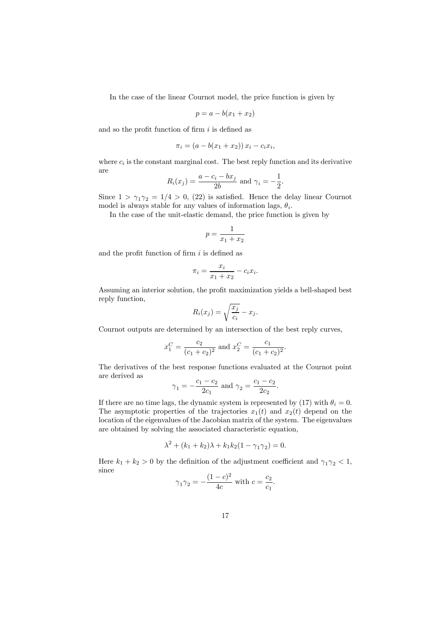In the case of the linear Cournot model, the price function is given by

$$
p = a - b(x_1 + x_2)
$$

and so the profit function of firm  $i$  is defined as

$$
\pi_i = (a - b(x_1 + x_2)) x_i - c_i x_i,
$$

where  $c_i$  is the constant marginal cost. The best reply function and its derivative are

$$
R_i(x_j) = \frac{a - c_i - bx_j}{2b}
$$
 and  $\gamma_i = -\frac{1}{2}$ .

Since  $1 > \gamma_1 \gamma_2 = 1/4 > 0$ , (22) is satisfied. Hence the delay linear Cournot model is always stable for any values of information lags,  $\theta_i$ .

In the case of the unit-elastic demand, the price function is given by

$$
p = \frac{1}{x_1 + x_2}
$$

and the profit function of firm  $i$  is defined as

$$
\pi_i = \frac{x_i}{x_1 + x_2} - c_i x_i.
$$

Assuming an interior solution, the profit maximization yields a bell-shaped best reply function,

$$
R_i(x_j) = \sqrt{\frac{x_j}{c_i}} - x_j.
$$

Cournot outputs are determined by an intersection of the best reply curves,

$$
x_1^C = \frac{c_2}{(c_1 + c_2)^2}
$$
 and  $x_2^C = \frac{c_1}{(c_1 + c_2)^2}$ .

The derivatives of the best response functions evaluated at the Cournot point are derived as

$$
\gamma_1 = -\frac{c_1 - c_2}{2c_1}
$$
 and  $\gamma_2 = \frac{c_1 - c_2}{2c_2}$ .

If there are no time lags, the dynamic system is represented by (17) with  $\theta_i = 0$ . The asymptotic properties of the trajectories  $x_1(t)$  and  $x_2(t)$  depend on the location of the eigenvalues of the Jacobian matrix of the system. The eigenvalues are obtained by solving the associated characteristic equation,

$$
\lambda^{2} + (k_{1} + k_{2})\lambda + k_{1}k_{2}(1 - \gamma_{1}\gamma_{2}) = 0.
$$

Here  $k_1 + k_2 > 0$  by the definition of the adjustment coefficient and  $\gamma_1 \gamma_2 < 1$ , since

$$
\gamma_1 \gamma_2 = -\frac{(1-c)^2}{4c}
$$
 with  $c = \frac{c_2}{c_1}$ .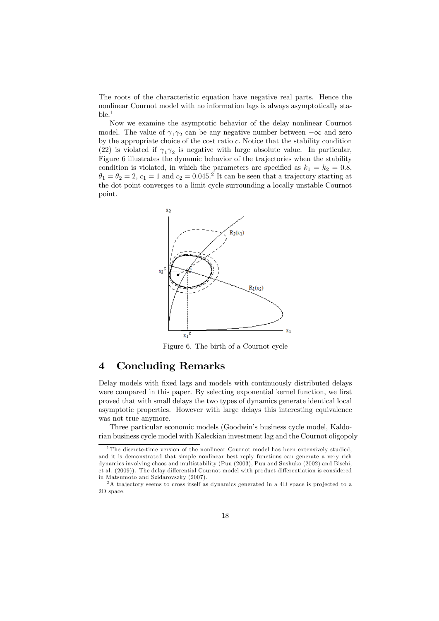The roots of the characteristic equation have negative real parts. Hence the nonlinear Cournot model with no information lags is always asymptotically sta $ble.1$ 

Now we examine the asymptotic behavior of the delay nonlinear Cournot model. The value of  $\gamma_1 \gamma_2$  can be any negative number between  $-\infty$  and zero by the appropriate choice of the cost ratio c. Notice that the stability condition (22) is violated if  $\gamma_1 \gamma_2$  is negative with large absolute value. In particular, Figure 6 illustrates the dynamic behavior of the trajectories when the stability condition is violated, in which the parameters are specified as  $k_1 = k_2 = 0.8$ ,  $\theta_1 = \theta_2 = 2, c_1 = 1$  and  $c_2 = 0.045$ .<sup>2</sup> It can be seen that a trajectory starting at the dot point converges to a limit cycle surrounding a locally unstable Cournot point.



Figure 6. The birth of a Cournot cycle

## 4 Concluding Remarks

Delay models with fixed lags and models with continuously distributed delays were compared in this paper. By selecting exponential kernel function, we first proved that with small delays the two types of dynamics generate identical local asymptotic properties. However with large delays this interesting equivalence was not true anymore.

Three particular economic models (Goodwin's business cycle model, Kaldorian business cycle model with Kaleckian investment lag and the Cournot oligopoly

<sup>&</sup>lt;sup>1</sup>The discrete-time version of the nonlinear Cournot model has been extensively studied. and it is demonstrated that simple nonlinear best reply functions can generate a very rich dynamics involving chaos and multistability (Puu (2003), Puu and Sushuko (2002) and Bischi, et al. (2009)). The delay differential Cournot model with product differentiation is considered in Matsumoto and Szidarovszky (2007).

<sup>&</sup>lt;sup>2</sup>A trajectory seems to cross itself as dynamics generated in a 4D space is projected to a 2D space.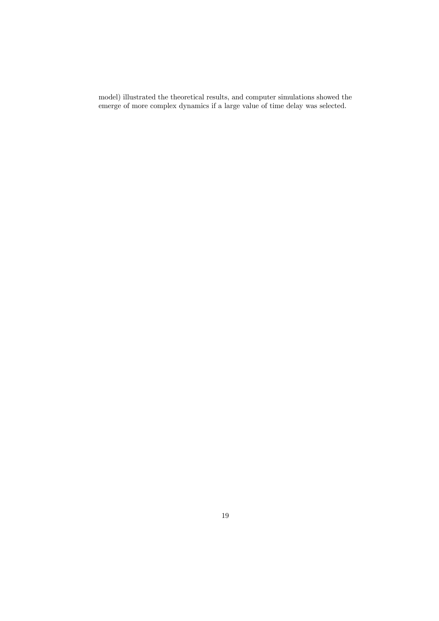model) illustrated the theoretical results, and computer simulations showed the emerge of more complex dynamics if a large value of time delay was selected.